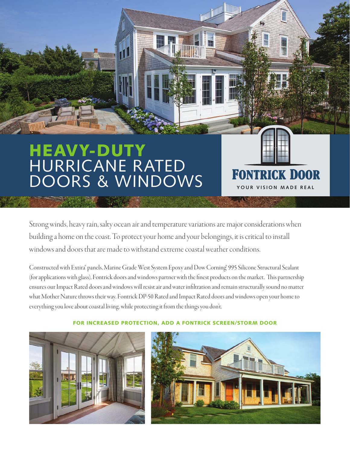## HEAVY-DUTY HURRICANE RATED DOORS & WINDOWS

Strong winds, heavy rain, salty ocean air and temperature variations are major considerations when building a home on the coast. To protect your home and your belongings, it is critical to install windows and doors that are made to withstand extreme coastal weather conditions.

Constructed with Extira® panels, Marine Grade West System Epoxy and Dow Corning® 995 Silicone Structural Sealant (for applications with glass), Fontrick doors and windows partner with the finest products on the market. This partnership ensures our Impact Rated doors and windows will resist air and water infiltration and remain structurally sound no matter what Mother Nature throws their way. Fontrick DP-50 Rated and Impact Rated doors and windows open your home to everything you love about coastal living, while protecting it from the things you don't.



## FOR INCREASED PROTECTION, ADD A FONTRICK SCREEN/STORM DOOR



**YOUR VISION MADE REAL**

**FONTRICK DOOR**